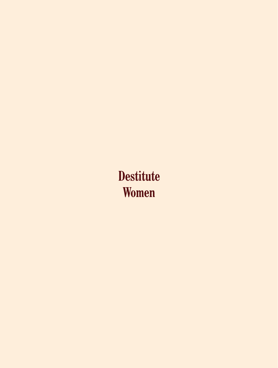# **Destitute** Women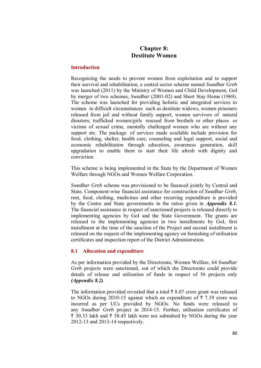# **Chapter 8: Destitute Women**

#### **Introduction**

Recognizing the needs to prevent women from exploitation and to support their survival and rehabilitation, a central sector scheme named *Swadhar Greh* was launched (2011) by the Ministry of Women and Child Development, GoI by merger of two schemes, *Swadhar* (2001-02) and Short Stay Home (1969). The scheme was launched for providing holistic and integrated services to women in difficult circumstances such as destitute widows, women prisoners released from jail and without family support, women survivors of natural disasters; trafficked women/girls rescued from brothels or other places or victims of sexual crime, mentally challenged women who are without any support etc. The package of services made available include provision for food, clothing, shelter, health care, counseling and legal support, social and economic rehabilitation through education, awareness generation, skill upgradation to enable them to start their life afresh with dignity and conviction.

This scheme is being implemented in the State by the Department of Women Welfare through NGOs and Women Welfare Corporation.

*Swadhar Greh* scheme was provisioned to be financed jointly by Central and State. Component-wise financial assistance for construction of *Swadhar Greh*, rent, food, clothing, medicines and other recurring expenditure is provided by the Centre and State governments in the ratios given in *Appendix 8.1.*  The financial assistance in respect of sanctioned projects is released directly to implementing agencies by GoI and the State Government. The grants are released to the implementing agencies in two installments by GoI, first installment at the time of the sanction of the Project and second installment is released on the request of the implementing agency on furnishing of utilisation certificates and inspection report of the District Administration.

#### **8.1 Allocation and expenditure**

As per information provided by the Directorate, Women Welfare, 64 *Swadhar Greh* projects were sanctioned, out of which the Directorate could provide details of release and utilisation of funds in respect of 56 projects only *(Appendix 8.2)*.

The information provided revealed that a total  $\bar{\tau}$  8.07 crore grant was released to NGOs during 2010-15 against which an expenditure of  $\bar{\tau}$  7.19 crore was incurred as per UCs provided by NGOs. No funds were released to any *Swadhar Greh* project in 2014-15. Further, utilisation certificates of  $\bar{\tau}$  30.33 lakh and  $\bar{\tau}$  58.45 lakh were not submitted by NGOs during the year 2012-13 and 2013-14 respectively.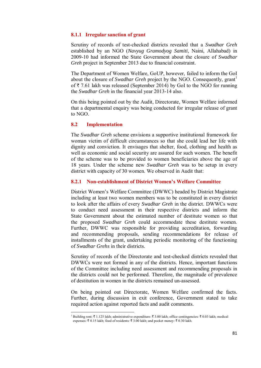#### **8.1.1 Irregular sanction of grant**

Scrutiny of records of test-checked districts revealed that a *Swadhar Greh* established by an NGO (*Navyug Gramodyog Samiti*, Naini, Allahabad) in 2009-10 had informed the State Government about the closure of *Swadhar Greh* project in September 2013 due to financial constraint.

The Department of Women Welfare, GoUP, however, failed to inform the GoI about the closure of *Swadhar Greh* project by the NGO. Consequently, grant<sup>1</sup> of  $\bar{\tau}$  7.61 lakh was released (September 2014) by GoI to the NGO for running the *Swadhar Greh* in the financial year 2013-14 also.

On this being pointed out by the Audit, Directorate, Women Welfare informed that a departmental enquiry was being conducted for irregular release of grant to NGO.

#### **8.2 Implementation**

**.** 

The *Swadhar Greh* scheme envisions a supportive institutional framework for woman victim of difficult circumstances so that she could lead her life with dignity and conviction. It envisages that shelter, food, clothing and health as well as economic and social security are assured for such women. The benefit of the scheme was to be provided to women beneficiaries above the age of 18 years. Under the scheme new *Swadhar Greh* was to be setup in every district with capacity of 30 women. We observed in Audit that:

#### **8.2.1 Non-establishment of District Women's Welfare Committee**

District Women's Welfare Committee (DWWC) headed by District Magistrate including at least two women members was to be constituted in every district to look after the affairs of every *Swadhar Greh* in the district. DWWCs were to conduct need assessment in their respective districts and inform the State Government about the estimated number of destitute women so that the proposed *Swadhar Greh* could accommodate these destitute women. Further, DWWC was responsible for providing accreditation, forwarding and recommending proposals, sending recommendations for release of installments of the grant, undertaking periodic monitoring of the functioning of *Swadhar Grehs* in their districts.

Scrutiny of records of the Directorate and test-checked districts revealed that DWWCs were not formed in any of the districts. Hence, important functions of the Committee including need assessment and recommending proposals in the districts could not be performed. Therefore, the magnitude of prevalence of destitution in women in the districts remained un-assessed.

On being pointed out Directorate, Women Welfare confirmed the facts. Further, during discussion in exit conference, Government stated to take required action against reported facts and audit comments.

<sup>&</sup>lt;sup>1</sup> Building rent: ₹ 1.125 lakh; administrative expenditure: ₹ 3.00 lakh; office contingencies: ₹ 0.03 lakh; medical expenses:  $\bar{\tau}$  0.15 lakh; food of residents:  $\bar{\tau}$  3.00 lakh; and pocket money:  $\bar{\tau}$  0.30 lakh.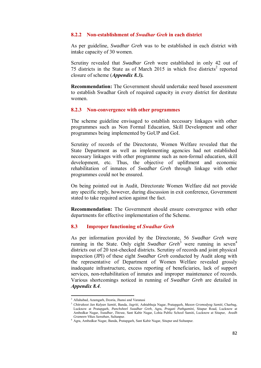#### **8.2.2 Non-establishment of** *Swadhar Greh* **in each district**

As per guideline, *Swadhar Greh* was to be established in each district with intake capacity of 30 women.

Scrutiny revealed that *Swadhar Greh* were established in only 42 out of 75 districts in the State as of March 2015 in which five districts<sup>2</sup> reported closure of scheme (*Appendix 8.3).*

**Recommendation:** The Government should undertake need based assessment to establish Swadhar Greh of required capacity in every district for destitute women.

#### **8.2.3 Non-convergence with other programmes**

The scheme guideline envisaged to establish necessary linkages with other programmes such as Non Formal Education, Skill Development and other programmes being implemented by GoUP and GoI.

Scrutiny of records of the Directorate, Women Welfare revealed that the State Department as well as implementing agencies had not established necessary linkages with other programme such as non-formal education, skill development, etc. Thus, the objective of upliftment and economic rehabilitation of inmates of *Swadhar Greh* through linkage with other programmes could not be ensured.

On being pointed out in Audit, Directorate Women Welfare did not provide any specific reply, however, during discussion in exit conference, Government stated to take required action against the fact.

**Recommendation:** The Government should ensure convergence with other departments for effective implementation of the Scheme.

#### **8.3 Improper functioning of** *Swadhar Greh*

As per information provided by the Directorate, 56 *Swadhar Greh* were running in the State. Only eight *Swadhar Greh*<sup>3</sup> were running in seven<sup>4</sup> districts out of 20 test-checked districts. Scrutiny of records and joint physical inspection (JPI) of these eight *Swadhar Greh* conducted by Audit along with the representative of Department of Women Welfare revealed grossly inadequate infrastructure, excess reporting of beneficiaries, lack of support services, non-rehabilitation of inmates and improper maintenance of records. Various shortcomings noticed in running of *Swadhar Greh* are detailed in *Appendix 8.4.*

 2 Allahabad, Azamgarh, Deoria, Jhansi and Varanasi

<sup>3</sup>  *Chitrakoot Jan Kalyan Samiti*, Banda, *Jagriti*, Ashtabhuja Nagar, Pratapgarh, *Maxon Gromodyog Samiti,* Charbag, Lucknow at Pratapgarh, *Panchsheel Swadhar Greh*, Agra, *Pragati Pathgamini,* Sitapur Road, Lucknow at Ambedkar Nagar, *Swadhar, Titowa*, Sant Kabir Nagar, Lohia Public School Samiti, Lucknow at Sitapur, *Avadh Grameen Vikas Sansthan*, Sultanpur.

<sup>4</sup> Agra, Ambedkar Nagar, Banda, Pratapgarh, Sant Kabir Nagar, Sitapur and Sultanpur.